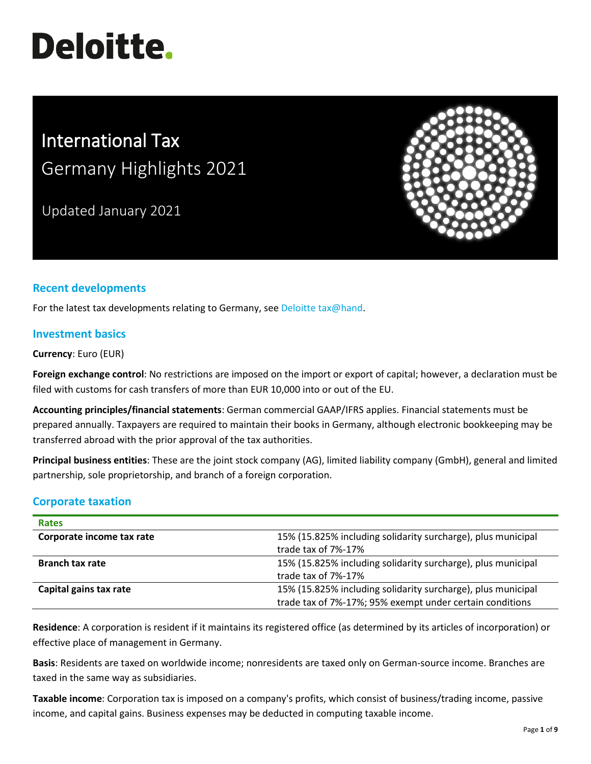# **Deloitte.**

# International Tax Germany Highlights 2021

Updated January 2021



# **Recent developments**

For the latest tax developments relating to Germany, see [Deloitte tax@hand.](https://www.taxathand.com/world-news/Germany)

#### **Investment basics**

**Currency**: Euro (EUR)

**Foreign exchange control**: No restrictions are imposed on the import or export of capital; however, a declaration must be filed with customs for cash transfers of more than EUR 10,000 into or out of the EU.

**Accounting principles/financial statements**: German commercial GAAP/IFRS applies. Financial statements must be prepared annually. Taxpayers are required to maintain their books in Germany, although electronic bookkeeping may be transferred abroad with the prior approval of the tax authorities.

**Principal business entities**: These are the joint stock company (AG), limited liability company (GmbH), general and limited partnership, sole proprietorship, and branch of a foreign corporation.

# **Corporate taxation**

| <b>Rates</b>              |                                                              |
|---------------------------|--------------------------------------------------------------|
| Corporate income tax rate | 15% (15.825% including solidarity surcharge), plus municipal |
|                           | trade tax of 7%-17%                                          |
| <b>Branch tax rate</b>    | 15% (15.825% including solidarity surcharge), plus municipal |
|                           | trade tax of 7%-17%                                          |
| Capital gains tax rate    | 15% (15.825% including solidarity surcharge), plus municipal |
|                           | trade tax of 7%-17%; 95% exempt under certain conditions     |

**Residence**: A corporation is resident if it maintains its registered office (as determined by its articles of incorporation) or effective place of management in Germany.

**Basis**: Residents are taxed on worldwide income; nonresidents are taxed only on German-source income. Branches are taxed in the same way as subsidiaries.

**Taxable income**: Corporation tax is imposed on a company's profits, which consist of business/trading income, passive income, and capital gains. Business expenses may be deducted in computing taxable income.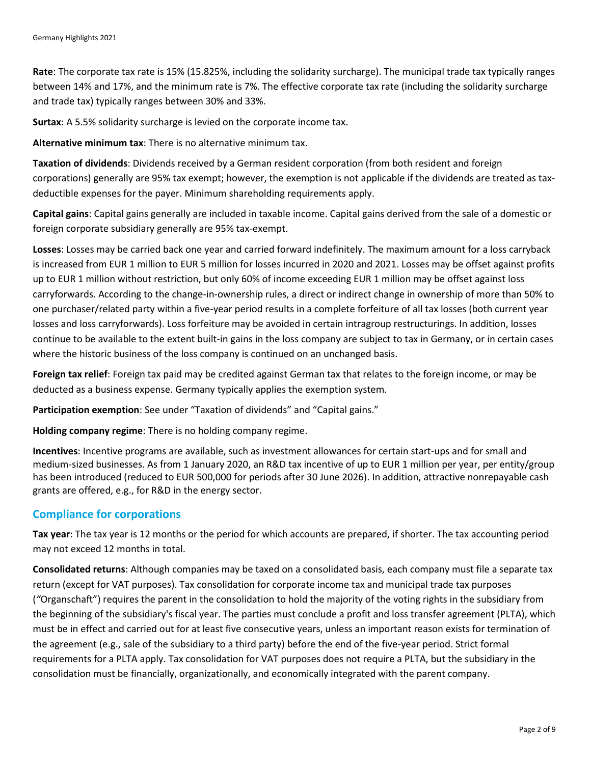**Rate**: The corporate tax rate is 15% (15.825%, including the solidarity surcharge). The municipal trade tax typically ranges between 14% and 17%, and the minimum rate is 7%. The effective corporate tax rate (including the solidarity surcharge and trade tax) typically ranges between 30% and 33%.

**Surtax**: A 5.5% solidarity surcharge is levied on the corporate income tax.

**Alternative minimum tax**: There is no alternative minimum tax.

**Taxation of dividends**: Dividends received by a German resident corporation (from both resident and foreign corporations) generally are 95% tax exempt; however, the exemption is not applicable if the dividends are treated as taxdeductible expenses for the payer. Minimum shareholding requirements apply.

**Capital gains**: Capital gains generally are included in taxable income. Capital gains derived from the sale of a domestic or foreign corporate subsidiary generally are 95% tax-exempt.

**Losses**: Losses may be carried back one year and carried forward indefinitely. The maximum amount for a loss carryback is increased from EUR 1 million to EUR 5 million for losses incurred in 2020 and 2021. Losses may be offset against profits up to EUR 1 million without restriction, but only 60% of income exceeding EUR 1 million may be offset against loss carryforwards. According to the change-in-ownership rules, a direct or indirect change in ownership of more than 50% to one purchaser/related party within a five-year period results in a complete forfeiture of all tax losses (both current year losses and loss carryforwards). Loss forfeiture may be avoided in certain intragroup restructurings. In addition, losses continue to be available to the extent built-in gains in the loss company are subject to tax in Germany, or in certain cases where the historic business of the loss company is continued on an unchanged basis.

**Foreign tax relief**: Foreign tax paid may be credited against German tax that relates to the foreign income, or may be deducted as a business expense. Germany typically applies the exemption system.

**Participation exemption**: See under "Taxation of dividends" and "Capital gains."

**Holding company regime**: There is no holding company regime.

**Incentives**: Incentive programs are available, such as investment allowances for certain start-ups and for small and medium-sized businesses. As from 1 January 2020, an R&D tax incentive of up to EUR 1 million per year, per entity/group has been introduced (reduced to EUR 500,000 for periods after 30 June 2026). In addition, attractive nonrepayable cash grants are offered, e.g., for R&D in the energy sector.

#### **Compliance for corporations**

**Tax year**: The tax year is 12 months or the period for which accounts are prepared, if shorter. The tax accounting period may not exceed 12 months in total.

**Consolidated returns**: Although companies may be taxed on a consolidated basis, each company must file a separate tax return (except for VAT purposes). Tax consolidation for corporate income tax and municipal trade tax purposes (*"*Organschaft") requires the parent in the consolidation to hold the majority of the voting rights in the subsidiary from the beginning of the subsidiary's fiscal year. The parties must conclude a profit and loss transfer agreement (PLTA), which must be in effect and carried out for at least five consecutive years, unless an important reason exists for termination of the agreement (e.g., sale of the subsidiary to a third party) before the end of the five-year period. Strict formal requirements for a PLTA apply. Tax consolidation for VAT purposes does not require a PLTA, but the subsidiary in the consolidation must be financially, organizationally, and economically integrated with the parent company.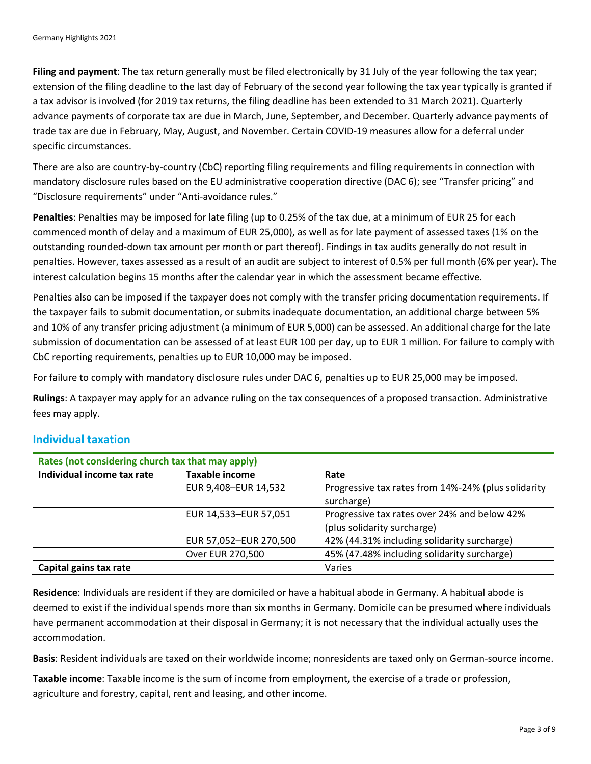**Filing and payment**: The tax return generally must be filed electronically by 31 July of the year following the tax year; extension of the filing deadline to the last day of February of the second year following the tax year typically is granted if a tax advisor is involved (for 2019 tax returns, the filing deadline has been extended to 31 March 2021). Quarterly advance payments of corporate tax are due in March, June, September, and December. Quarterly advance payments of trade tax are due in February, May, August, and November. Certain COVID-19 measures allow for a deferral under specific circumstances.

There are also are country-by-country (CbC) reporting filing requirements and filing requirements in connection with mandatory disclosure rules based on the EU administrative cooperation directive (DAC 6); see "Transfer pricing" and "Disclosure requirements" under "Anti-avoidance rules."

**Penalties**: Penalties may be imposed for late filing (up to 0.25% of the tax due, at a minimum of EUR 25 for each commenced month of delay and a maximum of EUR 25,000), as well as for late payment of assessed taxes (1% on the outstanding rounded-down tax amount per month or part thereof). Findings in tax audits generally do not result in penalties. However, taxes assessed as a result of an audit are subject to interest of 0.5% per full month (6% per year). The interest calculation begins 15 months after the calendar year in which the assessment became effective.

Penalties also can be imposed if the taxpayer does not comply with the transfer pricing documentation requirements. If the taxpayer fails to submit documentation, or submits inadequate documentation, an additional charge between 5% and 10% of any transfer pricing adjustment (a minimum of EUR 5,000) can be assessed. An additional charge for the late submission of documentation can be assessed of at least EUR 100 per day, up to EUR 1 million. For failure to comply with CbC reporting requirements, penalties up to EUR 10,000 may be imposed.

For failure to comply with mandatory disclosure rules under DAC 6, penalties up to EUR 25,000 may be imposed.

**Rulings**: A taxpayer may apply for an advance ruling on the tax consequences of a proposed transaction. Administrative fees may apply.

#### **Individual taxation**

| Rates (not considering church tax that may apply) |                        |                                                     |  |  |
|---------------------------------------------------|------------------------|-----------------------------------------------------|--|--|
| Individual income tax rate                        | <b>Taxable income</b>  | Rate                                                |  |  |
|                                                   | EUR 9,408-EUR 14,532   | Progressive tax rates from 14%-24% (plus solidarity |  |  |
|                                                   |                        | surcharge)                                          |  |  |
|                                                   | EUR 14,533-EUR 57,051  | Progressive tax rates over 24% and below 42%        |  |  |
|                                                   |                        | (plus solidarity surcharge)                         |  |  |
|                                                   | EUR 57,052-EUR 270,500 | 42% (44.31% including solidarity surcharge)         |  |  |
|                                                   | Over EUR 270,500       | 45% (47.48% including solidarity surcharge)         |  |  |
| Capital gains tax rate                            |                        | Varies                                              |  |  |

**Residence**: Individuals are resident if they are domiciled or have a habitual abode in Germany. A habitual abode is deemed to exist if the individual spends more than six months in Germany. Domicile can be presumed where individuals have permanent accommodation at their disposal in Germany; it is not necessary that the individual actually uses the accommodation.

**Basis**: Resident individuals are taxed on their worldwide income; nonresidents are taxed only on German-source income.

**Taxable income**: Taxable income is the sum of income from employment, the exercise of a trade or profession, agriculture and forestry, capital, rent and leasing, and other income.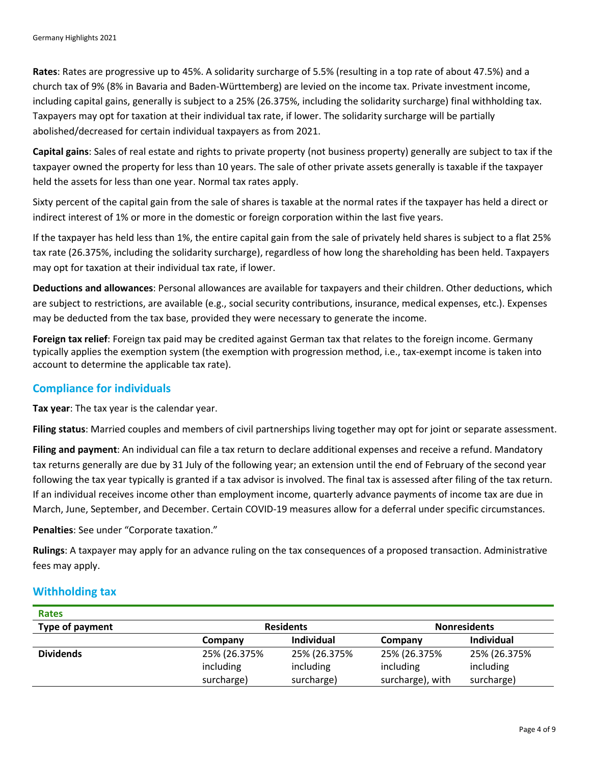**Rates**: Rates are progressive up to 45%. A solidarity surcharge of 5.5% (resulting in a top rate of about 47.5%) and a church tax of 9% (8% in Bavaria and Baden-Württemberg) are levied on the income tax. Private investment income, including capital gains, generally is subject to a 25% (26.375%, including the solidarity surcharge) final withholding tax. Taxpayers may opt for taxation at their individual tax rate, if lower. The solidarity surcharge will be partially abolished/decreased for certain individual taxpayers as from 2021.

**Capital gains**: Sales of real estate and rights to private property (not business property) generally are subject to tax if the taxpayer owned the property for less than 10 years. The sale of other private assets generally is taxable if the taxpayer held the assets for less than one year. Normal tax rates apply.

Sixty percent of the capital gain from the sale of shares is taxable at the normal rates if the taxpayer has held a direct or indirect interest of 1% or more in the domestic or foreign corporation within the last five years.

If the taxpayer has held less than 1%, the entire capital gain from the sale of privately held shares is subject to a flat 25% tax rate (26.375%, including the solidarity surcharge), regardless of how long the shareholding has been held. Taxpayers may opt for taxation at their individual tax rate, if lower.

**Deductions and allowances**: Personal allowances are available for taxpayers and their children. Other deductions, which are subject to restrictions, are available (e.g., social security contributions, insurance, medical expenses, etc.). Expenses may be deducted from the tax base, provided they were necessary to generate the income.

**Foreign tax relief**: Foreign tax paid may be credited against German tax that relates to the foreign income. Germany typically applies the exemption system (the exemption with progression method, i.e., tax-exempt income is taken into account to determine the applicable tax rate).

### **Compliance for individuals**

**Tax year**: The tax year is the calendar year.

**Filing status**: Married couples and members of civil partnerships living together may opt for joint or separate assessment.

**Filing and payment**: An individual can file a tax return to declare additional expenses and receive a refund. Mandatory tax returns generally are due by 31 July of the following year; an extension until the end of February of the second year following the tax year typically is granted if a tax advisor is involved. The final tax is assessed after filing of the tax return. If an individual receives income other than employment income, quarterly advance payments of income tax are due in March, June, September, and December. Certain COVID-19 measures allow for a deferral under specific circumstances.

**Penalties**: See under "Corporate taxation."

**Rulings**: A taxpayer may apply for an advance ruling on the tax consequences of a proposed transaction. Administrative fees may apply.

#### **Withholding tax**

| <b>Rates</b>     |              |                  |                  |                     |  |
|------------------|--------------|------------------|------------------|---------------------|--|
| Type of payment  |              | <b>Residents</b> |                  | <b>Nonresidents</b> |  |
|                  | Company      | Individual       | Company          | Individual          |  |
| <b>Dividends</b> | 25% (26.375% | 25% (26.375%     | 25% (26.375%     | 25% (26.375%        |  |
|                  | including    | including        | including        | including           |  |
|                  | surcharge)   | surcharge)       | surcharge), with | surcharge)          |  |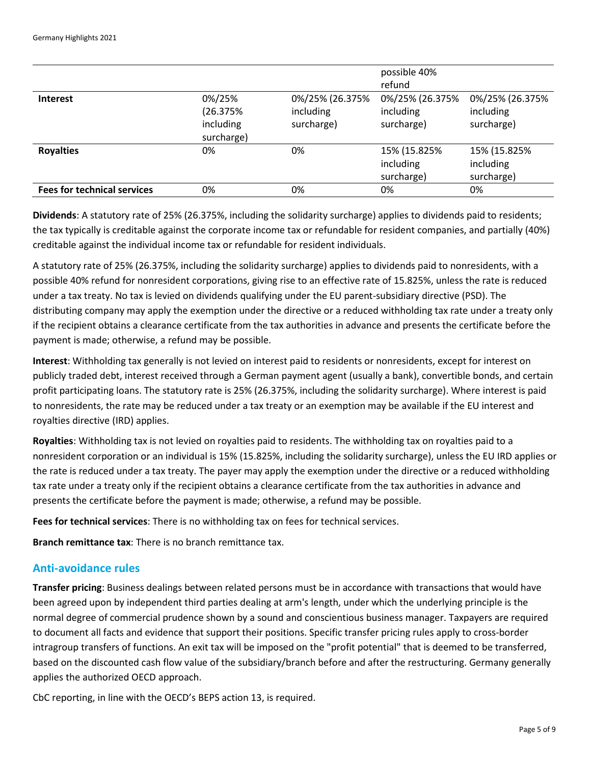|                                    |                                                |                                            | possible 40%<br>refund                     |                                            |
|------------------------------------|------------------------------------------------|--------------------------------------------|--------------------------------------------|--------------------------------------------|
| <b>Interest</b>                    | 0%/25%<br>(26.375%)<br>including<br>surcharge) | 0%/25% (26.375%<br>including<br>surcharge) | 0%/25% (26.375%<br>including<br>surcharge) | 0%/25% (26.375%<br>including<br>surcharge) |
| <b>Royalties</b>                   | 0%                                             | 0%                                         | 15% (15.825%<br>including<br>surcharge)    | 15% (15.825%<br>including<br>surcharge)    |
| <b>Fees for technical services</b> | 0%                                             | 0%                                         | 0%                                         | 0%                                         |

**Dividends**: A statutory rate of 25% (26.375%, including the solidarity surcharge) applies to dividends paid to residents; the tax typically is creditable against the corporate income tax or refundable for resident companies, and partially (40%) creditable against the individual income tax or refundable for resident individuals.

A statutory rate of 25% (26.375%, including the solidarity surcharge) applies to dividends paid to nonresidents, with a possible 40% refund for nonresident corporations, giving rise to an effective rate of 15.825%, unless the rate is reduced under a tax treaty. No tax is levied on dividends qualifying under the EU parent-subsidiary directive (PSD). The distributing company may apply the exemption under the directive or a reduced withholding tax rate under a treaty only if the recipient obtains a clearance certificate from the tax authorities in advance and presents the certificate before the payment is made; otherwise, a refund may be possible.

**Interest**: Withholding tax generally is not levied on interest paid to residents or nonresidents, except for interest on publicly traded debt, interest received through a German payment agent (usually a bank), convertible bonds, and certain profit participating loans. The statutory rate is 25% (26.375%, including the solidarity surcharge). Where interest is paid to nonresidents, the rate may be reduced under a tax treaty or an exemption may be available if the EU interest and royalties directive (IRD) applies.

**Royalties**: Withholding tax is not levied on royalties paid to residents. The withholding tax on royalties paid to a nonresident corporation or an individual is 15% (15.825%, including the solidarity surcharge), unless the EU IRD applies or the rate is reduced under a tax treaty. The payer may apply the exemption under the directive or a reduced withholding tax rate under a treaty only if the recipient obtains a clearance certificate from the tax authorities in advance and presents the certificate before the payment is made; otherwise, a refund may be possible.

**Fees for technical services**: There is no withholding tax on fees for technical services.

**Branch remittance tax**: There is no branch remittance tax.

#### **Anti-avoidance rules**

**Transfer pricing**: Business dealings between related persons must be in accordance with transactions that would have been agreed upon by independent third parties dealing at arm's length, under which the underlying principle is the normal degree of commercial prudence shown by a sound and conscientious business manager. Taxpayers are required to document all facts and evidence that support their positions. Specific transfer pricing rules apply to cross-border intragroup transfers of functions. An exit tax will be imposed on the "profit potential" that is deemed to be transferred, based on the discounted cash flow value of the subsidiary/branch before and after the restructuring. Germany generally applies the authorized OECD approach.

CbC reporting, in line with the OECD's BEPS action 13, is required.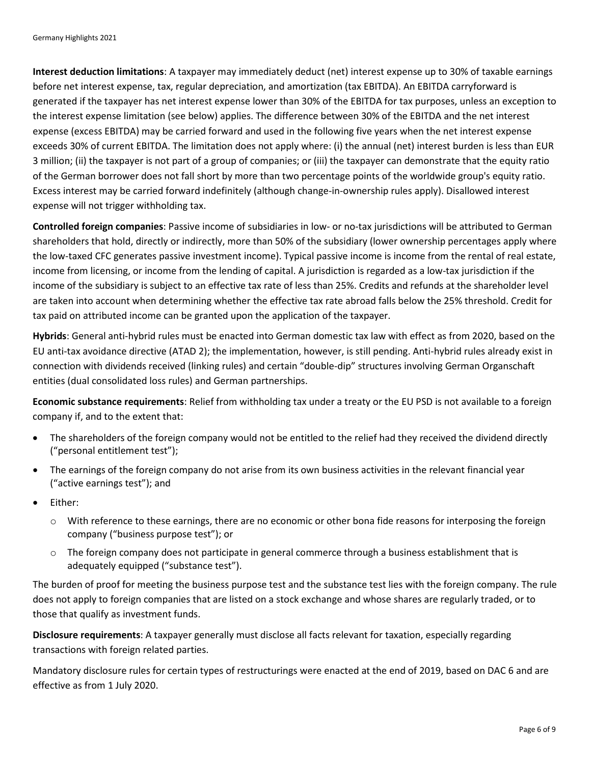**Interest deduction limitations**: A taxpayer may immediately deduct (net) interest expense up to 30% of taxable earnings before net interest expense, tax, regular depreciation, and amortization (tax EBITDA). An EBITDA carryforward is generated if the taxpayer has net interest expense lower than 30% of the EBITDA for tax purposes, unless an exception to the interest expense limitation (see below) applies. The difference between 30% of the EBITDA and the net interest expense (excess EBITDA) may be carried forward and used in the following five years when the net interest expense exceeds 30% of current EBITDA. The limitation does not apply where: (i) the annual (net) interest burden is less than EUR 3 million; (ii) the taxpayer is not part of a group of companies; or (iii) the taxpayer can demonstrate that the equity ratio of the German borrower does not fall short by more than two percentage points of the worldwide group's equity ratio. Excess interest may be carried forward indefinitely (although change-in-ownership rules apply). Disallowed interest expense will not trigger withholding tax.

**Controlled foreign companies**: Passive income of subsidiaries in low- or no-tax jurisdictions will be attributed to German shareholders that hold, directly or indirectly, more than 50% of the subsidiary (lower ownership percentages apply where the low-taxed CFC generates passive investment income). Typical passive income is income from the rental of real estate, income from licensing, or income from the lending of capital. A jurisdiction is regarded as a low-tax jurisdiction if the income of the subsidiary is subject to an effective tax rate of less than 25%. Credits and refunds at the shareholder level are taken into account when determining whether the effective tax rate abroad falls below the 25% threshold. Credit for tax paid on attributed income can be granted upon the application of the taxpayer.

**Hybrids**: General anti-hybrid rules must be enacted into German domestic tax law with effect as from 2020, based on the EU anti-tax avoidance directive (ATAD 2); the implementation, however, is still pending. Anti-hybrid rules already exist in connection with dividends received (linking rules) and certain "double-dip" structures involving German Organschaft entities (dual consolidated loss rules) and German partnerships.

**Economic substance requirements**: Relief from withholding tax under a treaty or the EU PSD is not available to a foreign company if, and to the extent that:

- The shareholders of the foreign company would not be entitled to the relief had they received the dividend directly ("personal entitlement test");
- The earnings of the foreign company do not arise from its own business activities in the relevant financial year ("active earnings test"); and
- Either:
	- $\circ$  With reference to these earnings, there are no economic or other bona fide reasons for interposing the foreign company ("business purpose test"); or
	- $\circ$  The foreign company does not participate in general commerce through a business establishment that is adequately equipped ("substance test").

The burden of proof for meeting the business purpose test and the substance test lies with the foreign company. The rule does not apply to foreign companies that are listed on a stock exchange and whose shares are regularly traded, or to those that qualify as investment funds.

**Disclosure requirements**: A taxpayer generally must disclose all facts relevant for taxation, especially regarding transactions with foreign related parties.

Mandatory disclosure rules for certain types of restructurings were enacted at the end of 2019, based on DAC 6 and are effective as from 1 July 2020.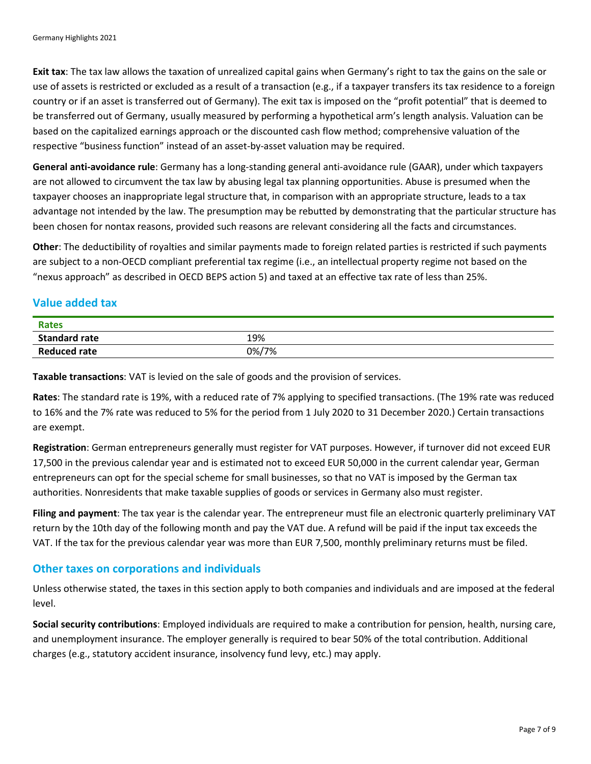**Exit tax**: The tax law allows the taxation of unrealized capital gains when Germany's right to tax the gains on the sale or use of assets is restricted or excluded as a result of a transaction (e.g., if a taxpayer transfers its tax residence to a foreign country or if an asset is transferred out of Germany). The exit tax is imposed on the "profit potential" that is deemed to be transferred out of Germany, usually measured by performing a hypothetical arm's length analysis. Valuation can be based on the capitalized earnings approach or the discounted cash flow method; comprehensive valuation of the respective "business function" instead of an asset-by-asset valuation may be required.

**General anti-avoidance rule**: Germany has a long-standing general anti-avoidance rule (GAAR), under which taxpayers are not allowed to circumvent the tax law by abusing legal tax planning opportunities. Abuse is presumed when the taxpayer chooses an inappropriate legal structure that, in comparison with an appropriate structure, leads to a tax advantage not intended by the law. The presumption may be rebutted by demonstrating that the particular structure has been chosen for nontax reasons, provided such reasons are relevant considering all the facts and circumstances.

**Other**: The deductibility of royalties and similar payments made to foreign related parties is restricted if such payments are subject to a non-OECD compliant preferential tax regime (i.e., an intellectual property regime not based on the "nexus approach" as described in OECD BEPS action 5) and taxed at an effective tax rate of less than 25%.

# **Value added tax**

| Rates                |       |
|----------------------|-------|
| <b>Standard rate</b> | 19%   |
| <b>Reduced rate</b>  | 0%/7% |

**Taxable transactions**: VAT is levied on the sale of goods and the provision of services.

**Rates**: The standard rate is 19%, with a reduced rate of 7% applying to specified transactions. (The 19% rate was reduced to 16% and the 7% rate was reduced to 5% for the period from 1 July 2020 to 31 December 2020.) Certain transactions are exempt.

**Registration**: German entrepreneurs generally must register for VAT purposes. However, if turnover did not exceed EUR 17,500 in the previous calendar year and is estimated not to exceed EUR 50,000 in the current calendar year, German entrepreneurs can opt for the special scheme for small businesses, so that no VAT is imposed by the German tax authorities. Nonresidents that make taxable supplies of goods or services in Germany also must register.

**Filing and payment**: The tax year is the calendar year. The entrepreneur must file an electronic quarterly preliminary VAT return by the 10th day of the following month and pay the VAT due. A refund will be paid if the input tax exceeds the VAT. If the tax for the previous calendar year was more than EUR 7,500, monthly preliminary returns must be filed.

#### **Other taxes on corporations and individuals**

Unless otherwise stated, the taxes in this section apply to both companies and individuals and are imposed at the federal level.

**Social security contributions**: Employed individuals are required to make a contribution for pension, health, nursing care, and unemployment insurance. The employer generally is required to bear 50% of the total contribution. Additional charges (e.g., statutory accident insurance, insolvency fund levy, etc.) may apply.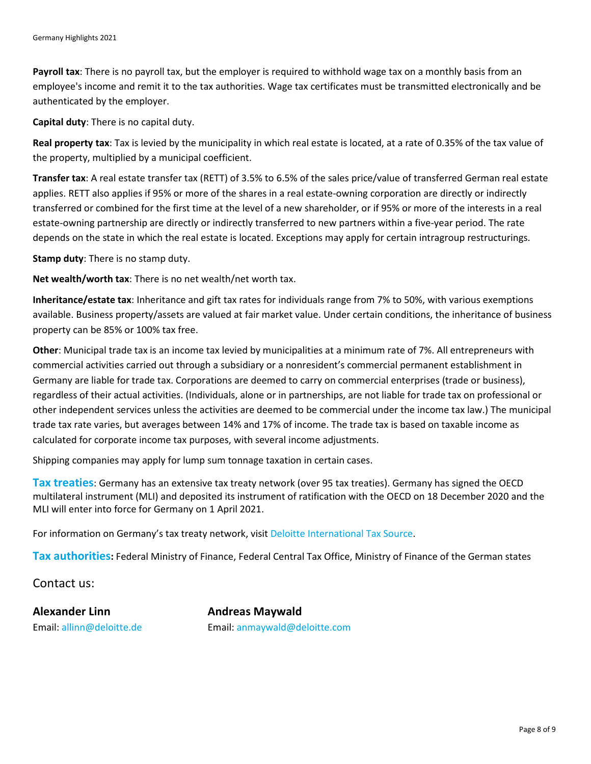**Payroll tax**: There is no payroll tax, but the employer is required to withhold wage tax on a monthly basis from an employee's income and remit it to the tax authorities. Wage tax certificates must be transmitted electronically and be authenticated by the employer.

**Capital duty**: There is no capital duty.

**Real property tax**: Tax is levied by the municipality in which real estate is located, at a rate of 0.35% of the tax value of the property, multiplied by a municipal coefficient.

**Transfer tax**: A real estate transfer tax (RETT) of 3.5% to 6.5% of the sales price/value of transferred German real estate applies. RETT also applies if 95% or more of the shares in a real estate-owning corporation are directly or indirectly transferred or combined for the first time at the level of a new shareholder, or if 95% or more of the interests in a real estate-owning partnership are directly or indirectly transferred to new partners within a five-year period. The rate depends on the state in which the real estate is located. Exceptions may apply for certain intragroup restructurings.

**Stamp duty**: There is no stamp duty.

**Net wealth/worth tax**: There is no net wealth/net worth tax.

**Inheritance/estate tax**: Inheritance and gift tax rates for individuals range from 7% to 50%, with various exemptions available. Business property/assets are valued at fair market value. Under certain conditions, the inheritance of business property can be 85% or 100% tax free.

**Other**: Municipal trade tax is an income tax levied by municipalities at a minimum rate of 7%. All entrepreneurs with commercial activities carried out through a subsidiary or a nonresident's commercial permanent establishment in Germany are liable for trade tax. Corporations are deemed to carry on commercial enterprises (trade or business), regardless of their actual activities. (Individuals, alone or in partnerships, are not liable for trade tax on professional or other independent services unless the activities are deemed to be commercial under the income tax law.) The municipal trade tax rate varies, but averages between 14% and 17% of income. The trade tax is based on taxable income as calculated for corporate income tax purposes, with several income adjustments.

Shipping companies may apply for lump sum tonnage taxation in certain cases.

**Tax treaties**: Germany has an extensive tax treaty network (over 95 tax treaties). Germany has signed the OECD multilateral instrument (MLI) and deposited its instrument of ratification with the OECD on 18 December 2020 and the MLI will enter into force for Germany on 1 April 2021.

For information on Germany's tax treaty network, visit [Deloitte International Tax Source.](https://www.dits.deloitte.com/#Jurisdiction/29)

**Tax authorities:** Federal Ministry of Finance, Federal Central Tax Office, Ministry of Finance of the German states

Contact us:

**Alexander Linn Andreas Maywald**

Email: [allinn@deloitte.de](mailto:allinn@deloitte.de) Email: [anmaywald@deloitte.com](mailto:anmaywald@deloitte.com)